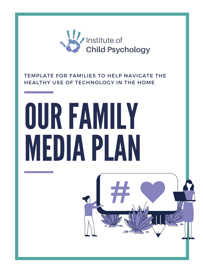

## TEMPLATE FOR FAMILIES TO HELP NAVIGATE THE HEALTHY USE OF TECHNOLOGY IN THE HOME



# MEDIAPLAN

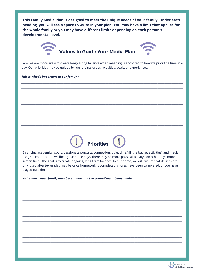This Family Media Plan is designed to meet the unique needs of your family. Under each heading, you will see a space to write in your plan. You may have a limit that applies for the whole family or you may have different limits depending on each person's developmental level.



Families are more likely to create long-lasting balance when meaning is anchored to how we prioritize time in a day. Our priorities may be guided by identifying values, activities, goals, or experiences.

This is what's important to our family :



Balancing academics, sport, passionate pursuits, connection, quiet time,"fill the bucket activities" and media usage is important to wellbeing. On some days, there may be more physical activity - on other days more screen time - the goal is to create ongoing, long-term balance. In our home, we will ensure that devices are only used after (examples may be once homework is completed, chores have been completed, or you have played outside):

Write down each family member's name and the commitment being made:

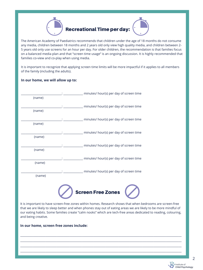The American Academy of Paediatrics recommends that children under the age of 18 months do not consume any media, children between 18 months and 2 years old only view high quality media, and children between 2- 5 years old only use screens for an hour per day. For older children, the recommendation is that families focus on a balanced media plan and that "screen time usage" is an ongoing discussion. It is highly recommended that families co-view and co-play when using media.

It is important to recognize that applying screen time limits will be more impactful if it applies to all members of the family (including the adults).

#### **In our home, we will allow up to:**





It is important to have screen-free zones within homes. Research shows that when bedrooms are screen-free that we are likely to sleep better and when phones stay out of eating areas we are likely to be more mindful of our eating habits. Some families create "calm nooks" which are tech-free areas dedicated to reading, colouring, and being creative.

 $\mathcal{L} = \{ \mathcal{L} = \{ \mathcal{L} = \mathcal{L} \} \cup \{ \mathcal{L} = \{ \mathcal{L} = \mathcal{L} \} \cup \{ \mathcal{L} = \{ \mathcal{L} = \mathcal{L} \} \cup \{ \mathcal{L} = \{ \mathcal{L} = \mathcal{L} \} \cup \{ \mathcal{L} = \{ \mathcal{L} = \mathcal{L} \} \cup \{ \mathcal{L} = \{ \mathcal{L} = \mathcal{L} \} \cup \{ \mathcal{L} = \{ \mathcal{L} = \mathcal{L} \} \cup \{ \mathcal{L} = \{ \mathcal{L}$ 

 $\mathcal{L} = \{ \mathcal{L} = \{ \mathcal{L} = \mathcal{L} \} \cup \{ \mathcal{L} = \{ \mathcal{L} = \mathcal{L} \} \cup \{ \mathcal{L} = \{ \mathcal{L} = \mathcal{L} \} \cup \{ \mathcal{L} = \{ \mathcal{L} = \mathcal{L} \} \cup \{ \mathcal{L} = \{ \mathcal{L} = \mathcal{L} \} \cup \{ \mathcal{L} = \{ \mathcal{L} = \mathcal{L} \} \cup \{ \mathcal{L} = \{ \mathcal{L} = \mathcal{L} \} \cup \{ \mathcal{L} = \{ \mathcal{L}$ 

 $\mathcal{L} = \{ \mathcal{L} = \{ \mathcal{L} = \mathcal{L} \} \cup \{ \mathcal{L} = \{ \mathcal{L} = \mathcal{L} \} \cup \{ \mathcal{L} = \{ \mathcal{L} = \mathcal{L} \} \cup \{ \mathcal{L} = \{ \mathcal{L} = \mathcal{L} \} \cup \{ \mathcal{L} = \{ \mathcal{L} = \mathcal{L} \} \cup \{ \mathcal{L} = \{ \mathcal{L} = \mathcal{L} \} \cup \{ \mathcal{L} = \{ \mathcal{L} = \mathcal{L} \} \cup \{ \mathcal{L} = \{ \mathcal{L}$ 

 $\mathcal{L} = \{ \mathcal{L} = \{ \mathcal{L} = \mathcal{L} \} \cup \{ \mathcal{L} = \{ \mathcal{L} = \mathcal{L} \} \cup \{ \mathcal{L} = \{ \mathcal{L} = \mathcal{L} \} \cup \{ \mathcal{L} = \{ \mathcal{L} = \mathcal{L} \} \cup \{ \mathcal{L} = \{ \mathcal{L} = \mathcal{L} \} \cup \{ \mathcal{L} = \{ \mathcal{L} = \mathcal{L} \} \cup \{ \mathcal{L} = \{ \mathcal{L} = \mathcal{L} \} \cup \{ \mathcal{L} = \{ \mathcal{L}$ 



#### **In our home, screen free zones include:**



2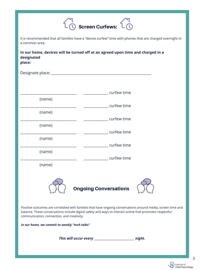It is recommended that all families have a "device curfew" time with phones that are charged overnight in a common area.

**In our home, devices will be turned off at an agreed upon time and charged in a designated place:**

| Designate place: ____ |             |
|-----------------------|-------------|
|                       |             |
|                       | curfew time |
| (name)                |             |
|                       | curfew time |
| (name)                |             |
|                       | curfew time |
| (name)                |             |
|                       | curfew time |





Positive outcomes are correlated with families that have ongoing conversations around media, screen time and balance. These conversations include digital safety and ways to interact online that promotes respectful communication, connection, and creativity.

*In our home, we commit to weekly "tech talks"*

*This will occur every \_\_\_\_\_\_\_\_\_\_\_\_\_\_\_\_\_\_\_\_\_\_\_\_\_\_\_\_ night.*



3